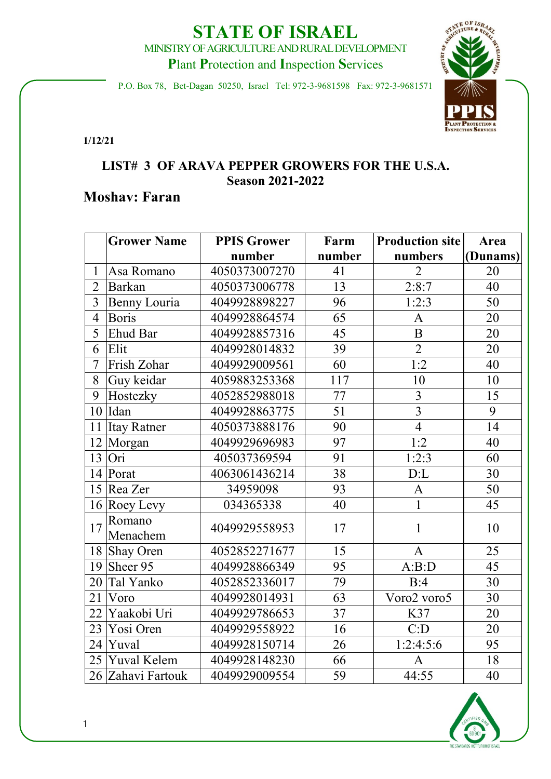# **STATE OF ISRAEL**

MINISTRY OF AGRICULTURE AND RURAL DEVELOPMENT

**P**lant **P**rotection and **I**nspection **S**ervices

P.O. Box 78, Bet-Dagan 50250, Israel Tel: 972-3-9681598 Fax: 972-3-9681571



**1/12/21**

#### **LIST# 3 OF ARAVA PEPPER GROWERS FOR THE U.S.A. Season 2021-2022**

#### **Moshav: Faran**

|                | <b>Grower Name</b> | <b>PPIS Grower</b> | Farm   | <b>Production site</b> | Area     |
|----------------|--------------------|--------------------|--------|------------------------|----------|
|                |                    | number             | number | numbers                | (Dunams) |
| $\mathbf{1}$   | Asa Romano         | 4050373007270      | 41     | $\overline{2}$         | 20       |
| $\overline{2}$ | Barkan             | 4050373006778      | 13     | 2:8:7                  | 40       |
| 3              | Benny Louria       | 4049928898227      | 96     | 1:2:3                  | 50       |
| $\overline{4}$ | Boris              | 4049928864574      | 65     | $\mathbf{A}$           | 20       |
| 5              | Ehud Bar           | 4049928857316      | 45     | $\, {\bf B}$           | 20       |
| 6              | Elit               | 4049928014832      | 39     | $\overline{2}$         | 20       |
| 7              | Frish Zohar        | 4049929009561      | 60     | 1:2                    | 40       |
| 8              | Guy keidar         | 4059883253368      | 117    | 10                     | 10       |
| 9              | Hostezky           | 4052852988018      | 77     | $\overline{3}$         | 15       |
| 10             | Idan               | 4049928863775      | 51     | $\overline{3}$         | 9        |
| 11             | <b>Itay Ratner</b> | 4050373888176      | 90     | $\overline{4}$         | 14       |
| 12             | Morgan             | 4049929696983      | 97     | 1:2                    | 40       |
| 13             | Ori                | 405037369594       | 91     | 1:2:3                  | 60       |
| 14             | Porat              | 4063061436214      | 38     | D: L                   | 30       |
|                | 15 Rea Zer         | 34959098           | 93     | $\mathbf{A}$           | 50       |
|                | 16 Roey Levy       | 034365338          | 40     | $\mathbf{1}$           | 45       |
| 17             | Romano<br>Menachem | 4049929558953      | 17     | $\mathbf{1}$           | 10       |
|                | 18 Shay Oren       | 4052852271677      | 15     | $\mathbf{A}$           | 25       |
| 19             | Sheer 95           | 4049928866349      | 95     | A:B:D                  | 45       |
| 20             | Tal Yanko          | 4052852336017      | 79     | B:4                    | 30       |
| 21             | Voro               | 4049928014931      | 63     | Voro2 voro5            | 30       |
| 22             | Yaakobi Uri        | 4049929786653      | 37     | K37                    | 20       |
| 23             | Yosi Oren          | 4049929558922      | 16     | C:D                    | 20       |
| 24             | Yuval              | 4049928150714      | 26     | 1:2:4:5:6              | 95       |
|                | 25 Yuval Kelem     | 4049928148230      | 66     | $\mathbf{A}$           | 18       |
|                | 26 Zahavi Fartouk  | 4049929009554      | 59     | 44:55                  | 40       |

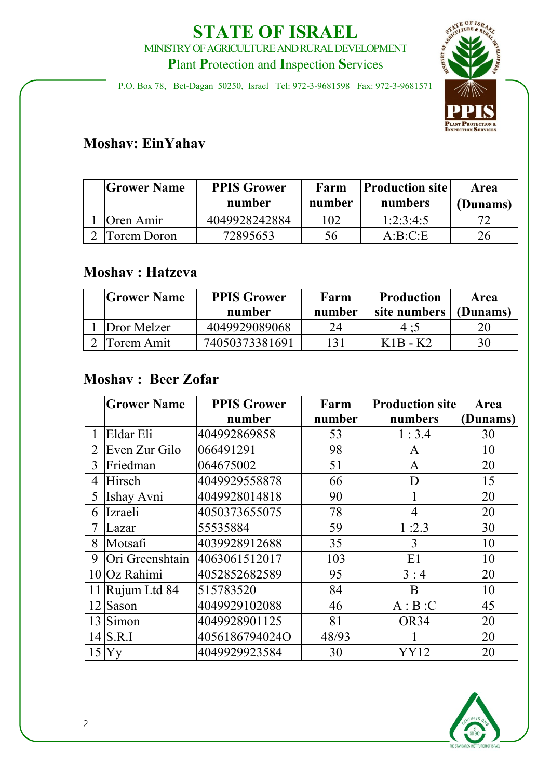### **STATE OF ISRAEL** MINISTRY OF AGRICULTURE AND RURAL DEVELOPMENT **P**lant **P**rotection and **I**nspection **S**ervices

P.O. Box 78, Bet-Dagan 50250, Israel Tel: 972-3-9681598 Fax: 972-3-9681571



### **Moshav: EinYahav**

| <b>Grower Name</b> | <b>PPIS Grower</b><br>number | Farm<br>number | <b>Production site</b><br>numbers | Area<br>(Dunams) |
|--------------------|------------------------------|----------------|-----------------------------------|------------------|
| Oren Amir          | 4049928242884                | 102            | 1:2:3:4:5                         |                  |
| Forem Doron        | 72895653                     | 56             | A:B:C:E                           |                  |

#### **Moshav : Hatzeva**

| <b>Grower Name</b> | <b>PPIS Grower</b><br>number | Farm<br>number | <b>Production</b><br>site numbers | Area<br>(Dunams) |
|--------------------|------------------------------|----------------|-----------------------------------|------------------|
| Dror Melzer        | 4049929089068                | 14             | 4:5                               |                  |
| `orem Amit         | 74050373381691               | 131            | $K1R-K2$                          | 30               |

### **Moshav : Beer Zofar**

|   | <b>Grower Name</b> | <b>PPIS Grower</b> | Farm   | <b>Production site</b> | Area     |
|---|--------------------|--------------------|--------|------------------------|----------|
|   |                    | number             | number | numbers                | (Dunams) |
|   | Eldar Eli          | 404992869858       | 53     | 1:3.4                  | 30       |
| 2 | Even Zur Gilo      | 066491291          | 98     | A                      | 10       |
| 3 | Friedman           | 064675002          | 51     | A                      | 20       |
| 4 | Hirsch             | 4049929558878      | 66     | D                      | 15       |
| 5 | Ishay Avni         | 4049928014818      | 90     |                        | 20       |
| 6 | Izraeli            | 4050373655075      | 78     | 4                      | 20       |
|   | Lazar              | 55535884           | 59     | 1:2.3                  | 30       |
| 8 | Motsafi            | 4039928912688      | 35     | 3                      | 10       |
| 9 | Ori Greenshtain    | 4063061512017      | 103    | E1                     | 10       |
|   | $10$ Oz Rahimi     | 4052852682589      | 95     | 3:4                    | 20       |
|   | 11 Rujum Ltd 84    | 515783520          | 84     | B                      | 10       |
|   | $12$ Sason         | 4049929102088      | 46     | A:B:C                  | 45       |
|   | $13$ Simon         | 4049928901125      | 81     | OR34                   | 20       |
|   | $14$ S.R.I         | 4056186794024O     | 48/93  |                        | 20       |
|   | 15 Yy              | 4049929923584      | 30     | YY12                   | 20       |